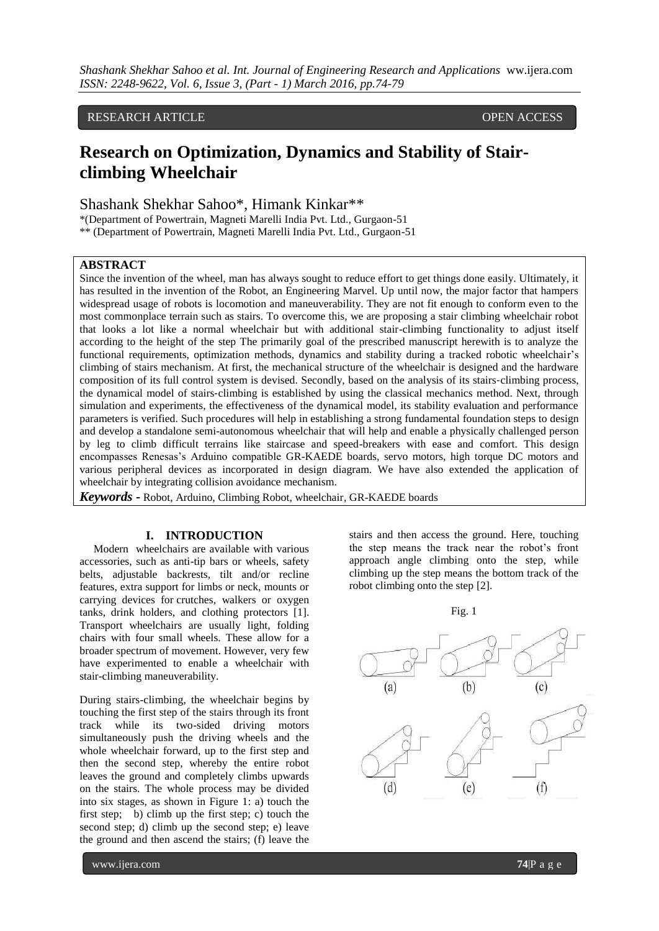## RESEARCH ARTICLE **CONSERVERS** OPEN ACCESS

# **Research on Optimization, Dynamics and Stability of Stairclimbing Wheelchair**

Shashank Shekhar Sahoo\*, Himank Kinkar\*\*

\*(Department of Powertrain, Magneti Marelli India Pvt. Ltd., Gurgaon-51

\*\* (Department of Powertrain, Magneti Marelli India Pvt. Ltd., Gurgaon-51

## **ABSTRACT**

Since the invention of the wheel, man has always sought to reduce effort to get things done easily. Ultimately, it has resulted in the invention of the Robot, an Engineering Marvel. Up until now, the major factor that hampers widespread usage of robots is locomotion and maneuverability. They are not fit enough to conform even to the most commonplace terrain such as stairs. To overcome this, we are proposing a stair climbing wheelchair robot that looks a lot like a normal wheelchair but with additional stair-climbing functionality to adjust itself according to the height of the step The primarily goal of the prescribed manuscript herewith is to analyze the functional requirements, optimization methods, dynamics and stability during a tracked robotic wheelchair's climbing of stairs mechanism. At first, the mechanical structure of the wheelchair is designed and the hardware composition of its full control system is devised. Secondly, based on the analysis of its stairs‐climbing process, the dynamical model of stairs‐climbing is established by using the classical mechanics method. Next, through simulation and experiments, the effectiveness of the dynamical model, its stability evaluation and performance parameters is verified. Such procedures will help in establishing a strong fundamental foundation steps to design and develop a standalone semi-autonomous wheelchair that will help and enable a physically challenged person by leg to climb difficult terrains like staircase and speed-breakers with ease and comfort. This design encompasses Renesas's Arduino compatible GR-KAEDE boards, servo motors, high torque DC motors and various peripheral devices as incorporated in design diagram. We have also extended the application of wheelchair by integrating collision avoidance mechanism.

*Keywords* **-** Robot, Arduino, Climbing Robot, wheelchair, GR-KAEDE boards

#### **I. INTRODUCTION**

 Modern wheelchairs are available with various accessories, such as anti-tip bars or wheels, safety belts, adjustable backrests, tilt and/or recline features, extra support for limbs or neck, mounts or carrying devices for [crutches,](https://en.wikipedia.org/wiki/Crutch) walkers or oxygen tanks, drink holders, and clothing protectors [1]. Transport wheelchairs are usually light, folding chairs with four small wheels. These allow for a broader spectrum of movement. However, very few have experimented to enable a wheelchair with stair-climbing maneuverability.

During stairs-climbing, the wheelchair begins by touching the first step of the stairs through its front track while its two-sided driving motors simultaneously push the driving wheels and the whole wheelchair forward, up to the first step and then the second step, whereby the entire robot leaves the ground and completely climbs upwards on the stairs. The whole process may be divided into six stages, as shown in Figure 1: a) touch the first step; b) climb up the first step; c) touch the second step; d) climb up the second step; e) leave the ground and then ascend the stairs; (f) leave the

stairs and then access the ground. Here, touching the step means the track near the robot's front approach angle climbing onto the step, while climbing up the step means the bottom track of the robot climbing onto the step [2].

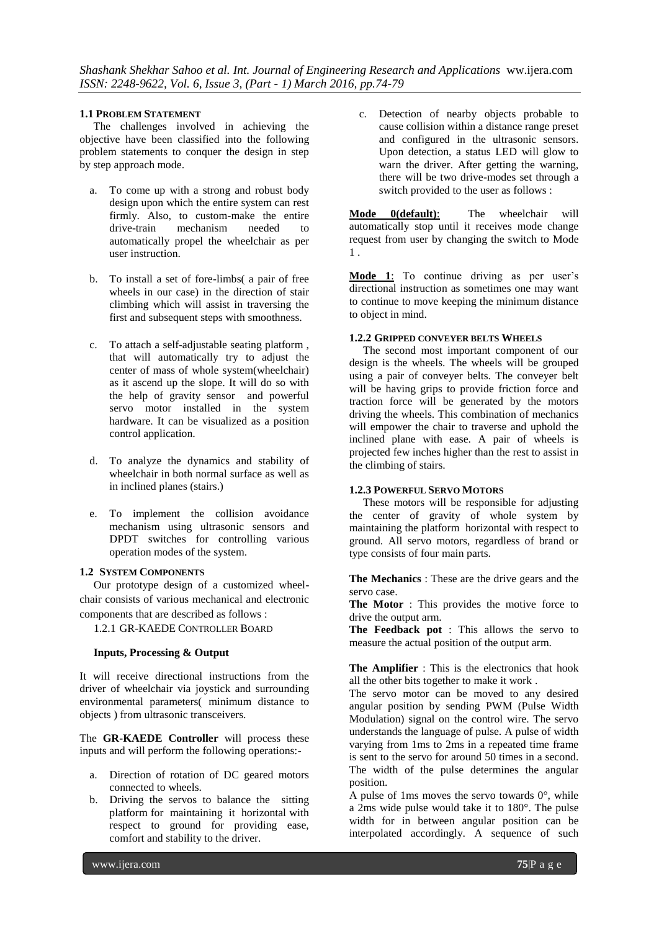#### **1.1 PROBLEM STATEMENT**

 The challenges involved in achieving the objective have been classified into the following problem statements to conquer the design in step by step approach mode.

- a. To come up with a strong and robust body design upon which the entire system can rest firmly. Also, to custom-make the entire drive-train mechanism needed to automatically propel the wheelchair as per user instruction.
- b. To install a set of fore-limbs( a pair of free wheels in our case) in the direction of stair climbing which will assist in traversing the first and subsequent steps with smoothness.
- c. To attach a self-adjustable seating platform , that will automatically try to adjust the center of mass of whole system(wheelchair) as it ascend up the slope. It will do so with the help of gravity sensor and powerful servo motor installed in the system hardware. It can be visualized as a position control application.
- d. To analyze the dynamics and stability of wheelchair in both normal surface as well as in inclined planes (stairs.)
- e. To implement the collision avoidance mechanism using ultrasonic sensors and DPDT switches for controlling various operation modes of the system.

#### **1.2 SYSTEM COMPONENTS**

 Our prototype design of a customized wheelchair consists of various mechanical and electronic components that are described as follows :

1.2.1 GR-KAEDE CONTROLLER BOARD

## **Inputs, Processing & Output**

It will receive directional instructions from the driver of wheelchair via joystick and surrounding environmental parameters( minimum distance to objects ) from ultrasonic transceivers.

The **GR-KAEDE Controller** will process these inputs and will perform the following operations:-

- a. Direction of rotation of DC geared motors connected to wheels.
- b. Driving the servos to balance the sitting platform for maintaining it horizontal with respect to ground for providing ease, comfort and stability to the driver.

c. Detection of nearby objects probable to cause collision within a distance range preset and configured in the ultrasonic sensors. Upon detection, a status LED will glow to warn the driver. After getting the warning, there will be two drive-modes set through a switch provided to the user as follows :

**Mode 0(default)**: The wheelchair will automatically stop until it receives mode change request from user by changing the switch to Mode 1 .

**Mode 1**: To continue driving as per user's directional instruction as sometimes one may want to continue to move keeping the minimum distance to object in mind.

## **1.2.2 GRIPPED CONVEYER BELTS WHEELS**

 The second most important component of our design is the wheels. The wheels will be grouped using a pair of conveyer belts. The conveyer belt will be having grips to provide friction force and traction force will be generated by the motors driving the wheels. This combination of mechanics will empower the chair to traverse and uphold the inclined plane with ease. A pair of wheels is projected few inches higher than the rest to assist in the climbing of stairs.

#### **1.2.3 POWERFUL SERVO MOTORS**

 These motors will be responsible for adjusting the center of gravity of whole system by maintaining the platform horizontal with respect to ground. All servo motors, regardless of brand or type consists of four main parts.

**The Mechanics** : These are the drive gears and the servo case.

**The Motor** : This provides the motive force to drive the output arm.

**The Feedback pot** : This allows the servo to measure the actual position of the output arm.

**The Amplifier** : This is the electronics that hook all the other bits together to make it work .

The servo motor can be moved to any desired angular position by sending PWM (Pulse Width Modulation) signal on the control wire. The servo understands the language of pulse. A pulse of width varying from 1ms to 2ms in a repeated time frame is sent to the servo for around 50 times in a second. The width of the pulse determines the angular position.

A pulse of 1ms moves the servo towards  $0^\circ$ , while a 2ms wide pulse would take it to 180°. The pulse width for in between angular position can be interpolated accordingly. A sequence of such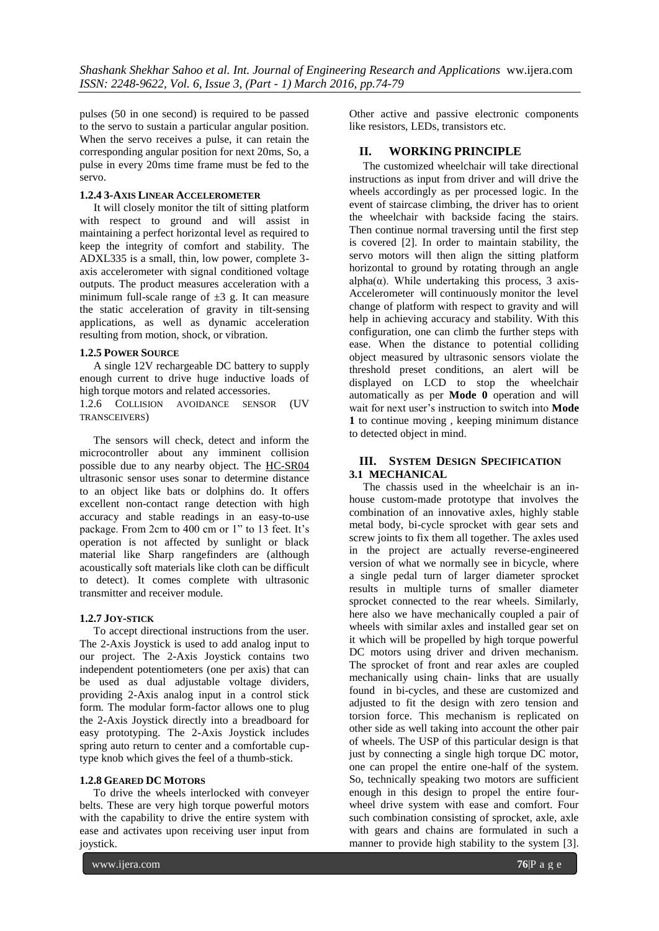pulses (50 in one second) is required to be passed to the servo to sustain a particular angular position. When the servo receives a pulse, it can retain the corresponding angular position for next 20ms, So, a pulse in every 20ms time frame must be fed to the servo.

## **1.2.4 3-AXIS LINEAR ACCELEROMETER**

 It will closely monitor the tilt of sitting platform with respect to ground and will assist in maintaining a perfect horizontal level as required to keep the integrity of comfort and stability. The ADXL335 is a small, thin, low power, complete 3 axis accelerometer with signal conditioned voltage outputs. The product measures acceleration with a minimum full-scale range of  $\pm 3$  g. It can measure the static acceleration of gravity in tilt-sensing applications, as well as dynamic acceleration resulting from motion, shock, or vibration.

#### **1.2.5 POWER SOURCE**

 A single 12V rechargeable DC battery to supply enough current to drive huge inductive loads of high torque motors and related accessories.

1.2.6 COLLISION AVOIDANCE SENSOR (UV TRANSCEIVERS)

 The sensors will check, detect and inform the microcontroller about any imminent collision possible due to any nearby object. The [HC-SR04](http://cytron.com.my/p-sn-hc-sr04) ultrasonic sensor uses sonar to determine distance to an object like bats or dolphins do. It offers excellent non-contact range detection with high accuracy and stable readings in an easy-to-use package. From 2cm to 400 cm or 1" to 13 feet. It's operation is not affected by sunlight or black material like Sharp rangefinders are (although acoustically soft materials like cloth can be difficult to detect). It comes complete with ultrasonic transmitter and receiver module.

## **1.2.7 JOY-STICK**

 To accept directional instructions from the user. The 2-Axis Joystick is used to add analog input to our project. The 2-Axis Joystick contains two independent potentiometers (one per axis) that can be used as dual adjustable voltage dividers, providing 2-Axis analog input in a control stick form. The modular form-factor allows one to plug the 2**-**Axis Joystick directly into a breadboard for easy prototyping. The 2-Axis Joystick includes spring auto return to center and a comfortable cuptype knob which gives the feel of a thumb-stick.

#### **1.2.8 GEARED DC MOTORS**

 To drive the wheels interlocked with conveyer belts. These are very high torque powerful motors with the capability to drive the entire system with ease and activates upon receiving user input from joystick.

Other active and passive electronic components like resistors, LEDs, transistors etc.

## **II. WORKING PRINCIPLE**

 The customized wheelchair will take directional instructions as input from driver and will drive the wheels accordingly as per processed logic. In the event of staircase climbing, the driver has to orient the wheelchair with backside facing the stairs. Then continue normal traversing until the first step is covered [2]. In order to maintain stability, the servo motors will then align the sitting platform horizontal to ground by rotating through an angle alpha( $\alpha$ ). While undertaking this process, 3 axis-Accelerometer will continuously monitor the level change of platform with respect to gravity and will help in achieving accuracy and stability. With this configuration, one can climb the further steps with ease. When the distance to potential colliding object measured by ultrasonic sensors violate the threshold preset conditions, an alert will be displayed on LCD to stop the wheelchair automatically as per **Mode 0** operation and will wait for next user's instruction to switch into **Mode 1** to continue moving , keeping minimum distance to detected object in mind.

## **III. SYSTEM DESIGN SPECIFICATION 3.1 MECHANICAL**

 The chassis used in the wheelchair is an inhouse custom-made prototype that involves the combination of an innovative axles, highly stable metal body, bi-cycle sprocket with gear sets and screw joints to fix them all together. The axles used in the project are actually reverse-engineered version of what we normally see in bicycle, where a single pedal turn of larger diameter sprocket results in multiple turns of smaller diameter sprocket connected to the rear wheels. Similarly, here also we have mechanically coupled a pair of wheels with similar axles and installed gear set on it which will be propelled by high torque powerful DC motors using driver and driven mechanism. The sprocket of front and rear axles are coupled mechanically using chain- links that are usually found in bi-cycles, and these are customized and adjusted to fit the design with zero tension and torsion force. This mechanism is replicated on other side as well taking into account the other pair of wheels. The USP of this particular design is that just by connecting a single high torque DC motor, one can propel the entire one-half of the system. So, technically speaking two motors are sufficient enough in this design to propel the entire fourwheel drive system with ease and comfort. Four such combination consisting of sprocket, axle, axle with gears and chains are formulated in such a manner to provide high stability to the system [3].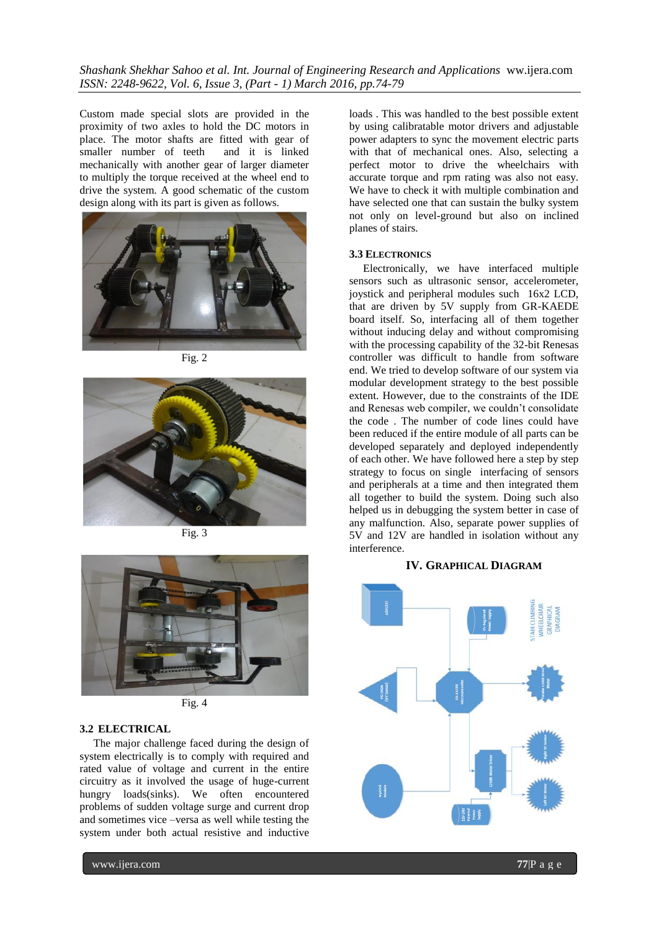*Shashank Shekhar Sahoo et al. Int. Journal of Engineering Research and Applications* ww.ijera.com *ISSN: 2248-9622, Vol. 6, Issue 3, (Part - 1) March 2016, pp.74-79*

Custom made special slots are provided in the proximity of two axles to hold the DC motors in place. The motor shafts are fitted with gear of smaller number of teeth and it is linked mechanically with another gear of larger diameter to multiply the torque received at the wheel end to drive the system. A good schematic of the custom design along with its part is given as follows.



Fig. 2



Fig. 3



Fig. 4

#### **3.2 ELECTRICAL**

 The major challenge faced during the design of system electrically is to comply with required and rated value of voltage and current in the entire circuitry as it involved the usage of huge-current hungry loads(sinks). We often encountered problems of sudden voltage surge and current drop and sometimes vice –versa as well while testing the system under both actual resistive and inductive

loads . This was handled to the best possible extent by using calibratable motor drivers and adjustable power adapters to sync the movement electric parts with that of mechanical ones. Also, selecting a perfect motor to drive the wheelchairs with accurate torque and rpm rating was also not easy. We have to check it with multiple combination and have selected one that can sustain the bulky system not only on level-ground but also on inclined planes of stairs.

#### **3.3 ELECTRONICS**

 Electronically, we have interfaced multiple sensors such as ultrasonic sensor, accelerometer, joystick and peripheral modules such 16x2 LCD, that are driven by 5V supply from GR-KAEDE board itself. So, interfacing all of them together without inducing delay and without compromising with the processing capability of the 32-bit Renesas controller was difficult to handle from software end. We tried to develop software of our system via modular development strategy to the best possible extent. However, due to the constraints of the IDE and Renesas web compiler, we couldn't consolidate the code . The number of code lines could have been reduced if the entire module of all parts can be developed separately and deployed independently of each other. We have followed here a step by step strategy to focus on single interfacing of sensors and peripherals at a time and then integrated them all together to build the system. Doing such also helped us in debugging the system better in case of any malfunction. Also, separate power supplies of 5V and 12V are handled in isolation without any interference.

#### **IV. GRAPHICAL DIAGRAM**

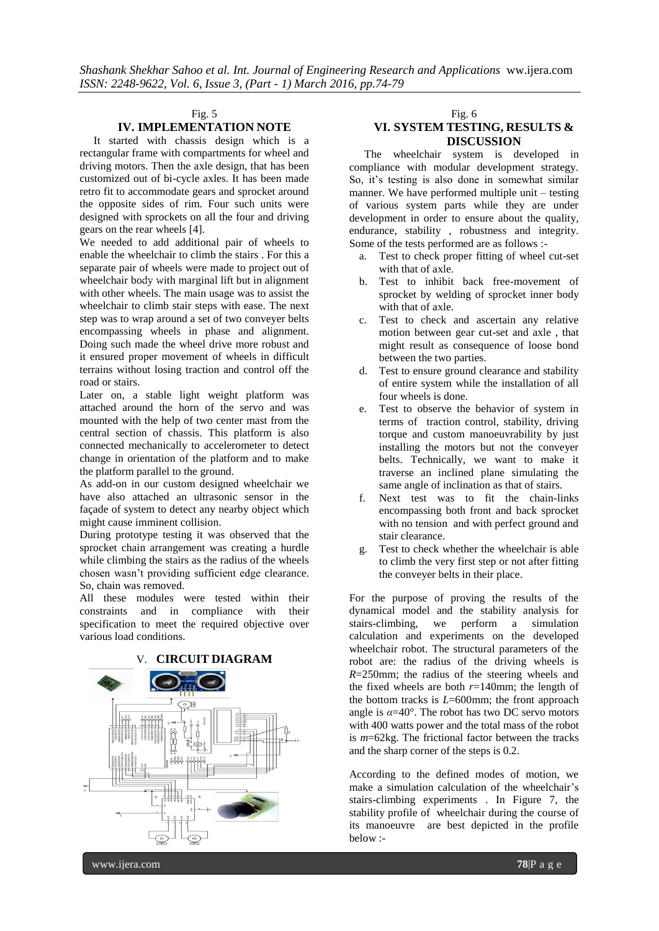#### Fig. 5

## **IV. IMPLEMENTATION NOTE**

 It started with chassis design which is a rectangular frame with compartments for wheel and driving motors. Then the axle design, that has been customized out of bi-cycle axles. It has been made retro fit to accommodate gears and sprocket around the opposite sides of rim. Four such units were designed with sprockets on all the four and driving gears on the rear wheels [4].

We needed to add additional pair of wheels to enable the wheelchair to climb the stairs . For this a separate pair of wheels were made to project out of wheelchair body with marginal lift but in alignment with other wheels. The main usage was to assist the wheelchair to climb stair steps with ease. The next step was to wrap around a set of two conveyer belts encompassing wheels in phase and alignment. Doing such made the wheel drive more robust and it ensured proper movement of wheels in difficult terrains without losing traction and control off the road or stairs.

Later on, a stable light weight platform was attached around the horn of the servo and was mounted with the help of two center mast from the central section of chassis. This platform is also connected mechanically to accelerometer to detect change in orientation of the platform and to make the platform parallel to the ground.

As add-on in our custom designed wheelchair we have also attached an ultrasonic sensor in the façade of system to detect any nearby object which might cause imminent collision.

During prototype testing it was observed that the sprocket chain arrangement was creating a hurdle while climbing the stairs as the radius of the wheels chosen wasn't providing sufficient edge clearance. So, chain was removed.

All these modules were tested within their constraints and in compliance with their specification to meet the required objective over various load conditions.



#### Fig. 6

# **VI. SYSTEM TESTING, RESULTS & DISCUSSION**

 The wheelchair system is developed in compliance with modular development strategy. So, it's testing is also done in somewhat similar manner. We have performed multiple unit – testing of various system parts while they are under development in order to ensure about the quality, endurance, stability , robustness and integrity. Some of the tests performed are as follows :-

- a. Test to check proper fitting of wheel cut-set with that of axle.
- b. Test to inhibit back free-movement of sprocket by welding of sprocket inner body with that of axle.
- c. Test to check and ascertain any relative motion between gear cut-set and axle , that might result as consequence of loose bond between the two parties.
- d. Test to ensure ground clearance and stability of entire system while the installation of all four wheels is done.
- e. Test to observe the behavior of system in terms of traction control, stability, driving torque and custom manoeuvrability by just installing the motors but not the conveyer belts. Technically, we want to make it traverse an inclined plane simulating the same angle of inclination as that of stairs.
- f. Next test was to fit the chain-links encompassing both front and back sprocket with no tension and with perfect ground and stair clearance.
- g. Test to check whether the wheelchair is able to climb the very first step or not after fitting the conveyer belts in their place.

For the purpose of proving the results of the dynamical model and the stability analysis for stairs-climbing, we perform a simulation calculation and experiments on the developed wheelchair robot. The structural parameters of the robot are: the radius of the driving wheels is *R*=250mm; the radius of the steering wheels and the fixed wheels are both  $r=140$ mm; the length of the bottom tracks is *L*=600mm; the front approach angle is  $\alpha$ =40°. The robot has two DC servo motors with 400 watts power and the total mass of the robot is *m*=62kg. The frictional factor between the tracks and the sharp corner of the steps is 0.2.

According to the defined modes of motion, we make a simulation calculation of the wheelchair's stairs-climbing experiments . In Figure 7, the stability profile of wheelchair during the course of its manoeuvre are best depicted in the profile below :-

www.ijera.com **78**|P a g e